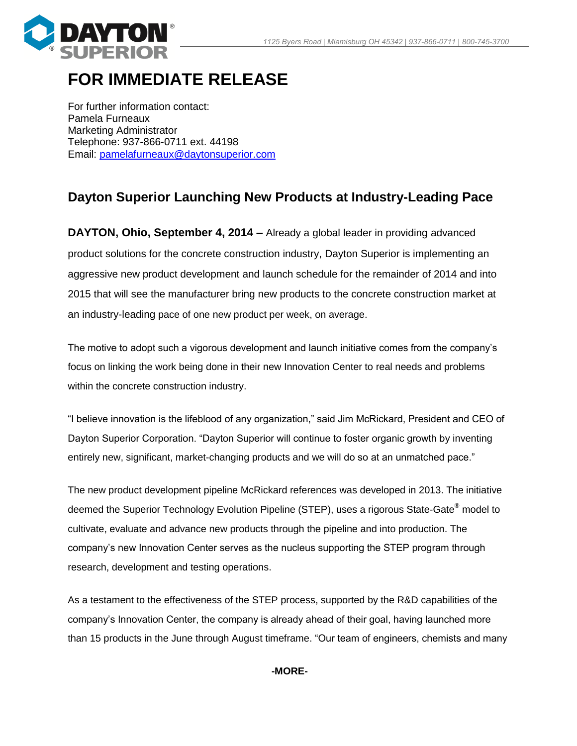

## **FOR IMMEDIATE RELEASE**

For further information contact: Pamela Furneaux Marketing Administrator Telephone: 937-866-0711 ext. 44198 Email: [pamelafurneaux@daytonsuperior.com](mailto:pamelafurneaux@daytonsuperior.com)

## **Dayton Superior Launching New Products at Industry-Leading Pace**

**DAYTON, Ohio, September 4, 2014 –** Already a global leader in providing advanced product solutions for the concrete construction industry, Dayton Superior is implementing an aggressive new product development and launch schedule for the remainder of 2014 and into 2015 that will see the manufacturer bring new products to the concrete construction market at an industry-leading pace of one new product per week, on average.

The motive to adopt such a vigorous development and launch initiative comes from the company's focus on linking the work being done in their new Innovation Center to real needs and problems within the concrete construction industry.

"I believe innovation is the lifeblood of any organization," said Jim McRickard, President and CEO of Dayton Superior Corporation. "Dayton Superior will continue to foster organic growth by inventing entirely new, significant, market-changing products and we will do so at an unmatched pace."

The new product development pipeline McRickard references was developed in 2013. The initiative deemed the Superior Technology Evolution Pipeline (STEP), uses a rigorous State-Gate® model to cultivate, evaluate and advance new products through the pipeline and into production. The company's new Innovation Center serves as the nucleus supporting the STEP program through research, development and testing operations.

As a testament to the effectiveness of the STEP process, supported by the R&D capabilities of the company's Innovation Center, the company is already ahead of their goal, having launched more than 15 products in the June through August timeframe. "Our team of engineers, chemists and many

**-MORE-**